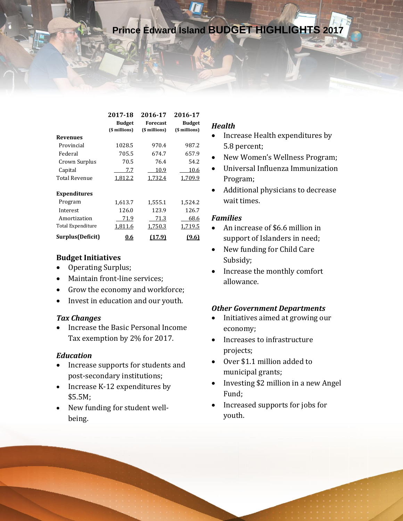|                      | 2017-18       | 2016-17         | 2016-17       |  |
|----------------------|---------------|-----------------|---------------|--|
|                      | <b>Budget</b> | <b>Forecast</b> | <b>Budget</b> |  |
|                      | (\$ millions) | (\$ millions)   | (\$ millions) |  |
| <b>Revenues</b>      |               |                 |               |  |
| Provincial           | 1028.5        | 970.4           | 987.2         |  |
| Federal              | 705.5         | 674.7           | 657.9         |  |
| Crown Surplus        | 70.5          | 76.4            | 54.2          |  |
| Capital              | 7.7           | 10.9            | 10.6          |  |
| <b>Total Revenue</b> | 1,812.2       | 1,732.4         | 1,709.9       |  |
| <b>Expenditures</b>  |               |                 |               |  |
| Program              | 1,613.7       | 1,555.1         | 1,524.2       |  |
| Interest             | 126.0         | 123.9           | 126.7         |  |
| Amortization         | 71.9          | 71.3            | 68.6          |  |
| Total Expenditure    | 1,811.6       | 1,750.3         | 1,719.5       |  |
| Surplus(Deficit)     | <u>0.6</u>    | .7.91           | 9.61          |  |

### **Budget Initiatives**

- Operating Surplus;
- Maintain front-line services;
- Grow the economy and workforce;
- Invest in education and our youth.

#### *Tax Changes*

• Increase the Basic Personal Income Tax exemption by 2% for 2017.

#### *Education*

- Increase supports for students and post-secondary institutions;
- Increase K-12 expenditures by \$5.5M;
- New funding for student wellbeing.

### *Health*

- Increase Health expenditures by 5.8 percent;
- New Women's Wellness Program;
- Universal Influenza Immunization Program;
- Additional physicians to decrease wait times.

#### *Families*

- An increase of \$6.6 million in support of Islanders in need;
- New funding for Child Care Subsidy;
- Increase the monthly comfort allowance.

# *Other Government Departments*

- Initiatives aimed at growing our economy;
- Increases to infrastructure projects;
- Over \$1.1 million added to municipal grants;
- Investing \$2 million in a new Angel Fund;
- Increased supports for jobs for youth.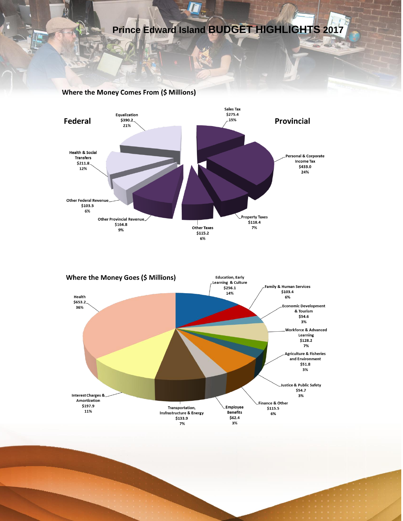#### **Where the Money Comes From (\$ Millions)**



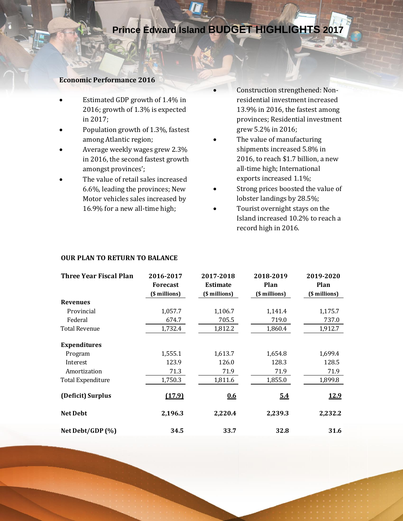#### **Economic Performance 2016**

- Estimated GDP growth of 1.4% in 2016; growth of 1.3% is expected in 2017;
- Population growth of 1.3%, fastest among Atlantic region;
- Average weekly wages grew 2.3% in 2016, the second fastest growth amongst provinces';
- The value of retail sales increased 6.6%, leading the provinces; New Motor vehicles sales increased by 16.9% for a new all-time high;
- Construction strengthened: Nonresidential investment increased 13.9% in 2016, the fastest among provinces; Residential investment grew 5.2% in 2016;
- The value of manufacturing shipments increased 5.8% in 2016, to reach \$1.7 billion, a new all-time high; International exports increased 1.1%;
- Strong prices boosted the value of lobster landings by 28.5%;
- Tourist overnight stays on the Island increased 10.2% to reach a record high in 2016.

| Three Year Fiscal Plan   | 2016-2017       | 2017-2018       | 2018-2019     | 2019-2020     |
|--------------------------|-----------------|-----------------|---------------|---------------|
|                          | <b>Forecast</b> | <b>Estimate</b> | Plan          | Plan          |
|                          | (\$ millions)   | (\$ millions)   | (\$ millions) | (\$ millions) |
| <b>Revenues</b>          |                 |                 |               |               |
| Provincial               | 1,057.7         | 1,106.7         | 1,141.4       | 1,175.7       |
| Federal                  | 674.7           | 705.5           | 719.0         | 737.0         |
| <b>Total Revenue</b>     | 1,732.4         | 1,812.2         | 1,860.4       | 1,912.7       |
| <b>Expenditures</b>      |                 |                 |               |               |
| Program                  | 1,555.1         | 1,613.7         | 1,654.8       | 1,699.4       |
| Interest                 | 123.9           | 126.0           | 128.3         | 128.5         |
| Amortization             | 71.3            | 71.9            | 71.9          | 71.9          |
| <b>Total Expenditure</b> | 1,750.3         | 1,811.6         | 1,855.0       | 1,899.8       |
| (Deficit) Surplus        | (17.9)          | 0.6             | 54            | 12.9          |
| <b>Net Debt</b>          | 2,196.3         | 2,220.4         | 2,239.3       | 2,232.2       |
| Net Debt/GDP (%)         | 34.5            | 33.7            | 32.8          | 31.6          |

#### **OUR PLAN TO RETURN TO BALANCE**